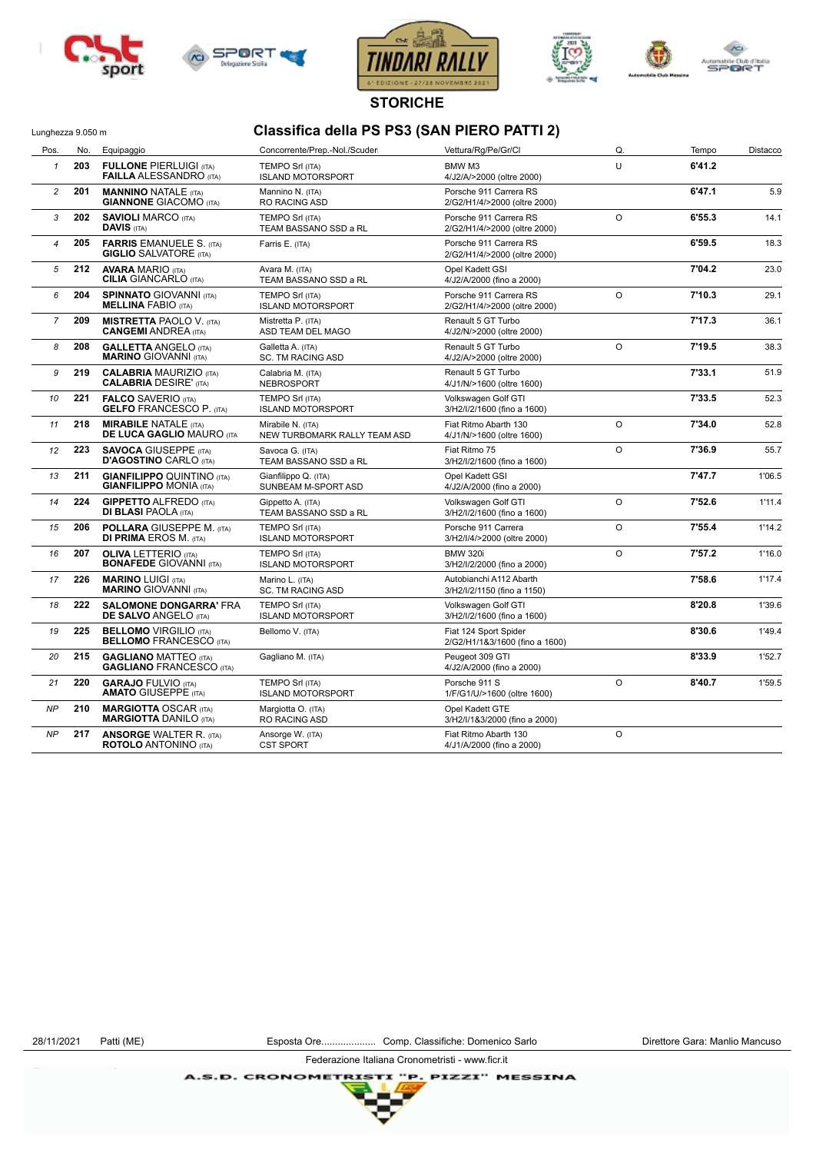







**STORICHE**

## Lunghezza 9.050 m<br> **Classifica della PS PS3 (SAN PIERO PATTI 2)**

| Pos.           | No. | Equipaggio                                                                                                                                                   | Concorrente/Prep.-Nol./Scuder                      | Vettura/Rg/Pe/Gr/Cl                                     | Q.      | Tempo  | Distacco |
|----------------|-----|--------------------------------------------------------------------------------------------------------------------------------------------------------------|----------------------------------------------------|---------------------------------------------------------|---------|--------|----------|
| $\mathbf{1}$   | 203 | <b>FULLONE PIERLUIGI (ITA)</b><br><b>FAILLA ALESSANDRO</b> (ITA)                                                                                             | <b>TEMPO Srl (ITA)</b><br><b>ISLAND MOTORSPORT</b> | BMW M3<br>4/J2/A/>2000 (oltre 2000)                     | U       | 6'41.2 |          |
| $\overline{c}$ | 201 | <b>MANNINO NATALE (ITA)</b><br><b>GIANNONE GIACOMO (ITA)</b>                                                                                                 | Mannino N. (ITA)<br><b>RO RACING ASD</b>           | Porsche 911 Carrera RS<br>2/G2/H1/4/>2000 (oltre 2000)  |         | 6'47.1 | 5.9      |
| 3              | 202 | <b>SAVIOLI MARCO (ITA)</b><br><b>DAVIS (ITA)</b>                                                                                                             | <b>TEMPO Srl (ITA)</b><br>TEAM BASSANO SSD a RL    | Porsche 911 Carrera RS<br>2/G2/H1/4/>2000 (oltre 2000)  | $\circ$ | 6'55.3 | 14.1     |
| 4              | 205 | <b>FARRIS EMANUELE S. (ITA)</b><br><b>GIGLIO SALVATORE (ITA)</b>                                                                                             | Farris E. (ITA)                                    | Porsche 911 Carrera RS<br>2/G2/H1/4/>2000 (oltre 2000)  |         | 6'59.5 | 18.3     |
| 5              | 212 | <b>AVARA MARIO (ITA)</b><br><b>CILIA GIANCARLO (ITA)</b>                                                                                                     | Avara M. (ITA)<br>TEAM BASSANO SSD a RL            | Opel Kadett GSI<br>4/J2/A/2000 (fino a 2000)            |         | 7'04.2 | 23.0     |
| 6              | 204 | <b>SPINNATO GIOVANNI (ITA)</b><br><b>MELLINA FABIO (ITA)</b>                                                                                                 | <b>TEMPO Srl (ITA)</b><br><b>ISLAND MOTORSPORT</b> | Porsche 911 Carrera RS<br>2/G2/H1/4/>2000 (oltre 2000)  | $\circ$ | 7'10.3 | 29.1     |
| $\overline{7}$ | 209 | <b>MISTRETTA PAOLO V. (ITA)</b><br>Mistretta P. (ITA)<br>Renault 5 GT Turbo<br><b>CANGEMI ANDREA (ITA)</b><br>ASD TEAM DEL MAGO<br>4/J2/N/>2000 (oltre 2000) |                                                    |                                                         | 7'17.3  | 36.1   |          |
| 8              | 208 | <b>GALLETTA ANGELO (ITA)</b><br><b>MARINO GIOVANNI (ITA)</b>                                                                                                 | Galletta A. (ITA)<br><b>SC. TM RACING ASD</b>      | Renault 5 GT Turbo<br>4/J2/A/>2000 (oltre 2000)         | $\circ$ | 7'19.5 | 38.3     |
| 9              | 219 | <b>CALABRIA MAURIZIO (ITA)</b><br><b>CALABRIA DESIRE' (ITA)</b>                                                                                              | Calabria M. (ITA)<br>NEBROSPORT                    | Renault 5 GT Turbo<br>4/J1/N/>1600 (oltre 1600)         |         | 7'33.1 | 51.9     |
| 10             | 221 | <b>FALCO SAVERIO (ITA)</b><br><b>GELFO FRANCESCO P. (ITA)</b>                                                                                                | <b>TEMPO Srl (ITA)</b><br><b>ISLAND MOTORSPORT</b> | Volkswagen Golf GTI<br>3/H2/I/2/1600 (fino a 1600)      |         | 7'33.5 | 52.3     |
| 11             | 218 | <b>MIRABILE NATALE (ITA)</b><br><b>DE LUCA GAGLIO MAURO (ITA</b>                                                                                             | Mirabile N. (ITA)<br>NEW TURBOMARK RALLY TEAM ASD  | Fiat Ritmo Abarth 130<br>4/J1/N/>1600 (oltre 1600)      | $\circ$ | 7'34.0 | 52.8     |
| 12             | 223 | <b>SAVOCA GIUSEPPE (ITA)</b><br><b>D'AGOSTINO CARLO (ITA)</b>                                                                                                | Savoca G. (ITA)<br>TEAM BASSANO SSD a RL           | Fiat Ritmo 75<br>3/H2/I/2/1600 (fino a 1600)            | $\circ$ |        | 55.7     |
| 13             | 211 | <b>GIANFILIPPO QUINTINO (ITA)</b><br><b>GIANFILIPPO MONIA (ITA)</b>                                                                                          | Gianfilippo Q. (ITA)<br>SUNBEAM M-SPORT ASD        | Opel Kadett GSI<br>4/J2/A/2000 (fino a 2000)            |         |        | 1'06.5   |
| 14             | 224 | <b>GIPPETTO ALFREDO (ITA)</b><br><b>DI BLASI PAOLA (ITA)</b>                                                                                                 | Gippetto A. (ITA)<br>TEAM BASSANO SSD a RL         | Volkswagen Golf GTI<br>3/H2/I/2/1600 (fino a 1600)      | $\circ$ | 7'52.6 | 1'11.4   |
| 15             | 206 | <b>POLLARA GIUSEPPE M. (ITA)</b><br><b>DI PRIMA EROS M. (ITA)</b>                                                                                            | <b>TEMPO Srl (ITA)</b><br><b>ISLAND MOTORSPORT</b> | Porsche 911 Carrera<br>3/H2/I/4/>2000 (oltre 2000)      | $\circ$ |        | 1'14.2   |
| 16             | 207 | <b>OLIVA LETTERIO (ITA)</b><br><b>BONAFEDE GIOVANNI (ITA)</b>                                                                                                | <b>TEMPO Srl (ITA)</b><br><b>ISLAND MOTORSPORT</b> | <b>BMW 320i</b><br>3/H2/I/2/2000 (fino a 2000)          | $\circ$ |        | 1'16.0   |
| 17             | 226 | <b>MARINO LUIGI (ITA)</b><br><b>MARINO GIOVANNI (ITA)</b>                                                                                                    | Marino L. (ITA)<br><b>SC. TM RACING ASD</b>        | Autobianchi A112 Abarth<br>3/H2/I/2/1150 (fino a 1150)  |         | 7'58.6 | 1'17.4   |
| 18             | 222 | <b>SALOMONE DONGARRA' FRA</b><br><b>DE SALVO ANGELO (ITA)</b>                                                                                                | <b>TEMPO Srl (ITA)</b><br><b>ISLAND MOTORSPORT</b> | Volkswagen Golf GTI<br>3/H2/I/2/1600 (fino a 1600)      |         | 8'20.8 | 1'39.6   |
| 19             | 225 | <b>BELLOMO VIRGILIO (ITA)</b><br><b>BELLOMO FRANCESCO (ITA)</b>                                                                                              | Bellomo V. (ITA)                                   | Fiat 124 Sport Spider<br>2/G2/H1/1&3/1600 (fino a 1600) |         | 8'30.6 | 1'49.4   |
| 20             | 215 | <b>GAGLIANO MATTEO (ITA)</b><br><b>GAGLIANO FRANCESCO (ITA)</b>                                                                                              | Gagliano M. (ITA)                                  | Peugeot 309 GTI<br>4/J2/A/2000 (fino a 2000)            |         | 8'33.9 | 1'52.7   |
| 21             | 220 | <b>GARAJO FULVIO (ITA)</b><br><b>AMATO GIUSEPPE (ITA)</b>                                                                                                    | <b>TEMPO Srl (ITA)</b><br><b>ISLAND MOTORSPORT</b> | Porsche 911 S<br>$\circ$<br>1/F/G1/U/>1600 (oltre 1600) |         | 8'40.7 | 1'59.5   |
| NP             | 210 | <b>MARGIOTTA OSCAR (ITA)</b><br><b>MARGIOTTA DANILO (ITA)</b>                                                                                                | Margiotta O. (ITA)<br><b>RO RACING ASD</b>         | Opel Kadett GTE<br>3/H2/I/1&3/2000 (fino a 2000)        |         |        |          |
| NP             | 217 | <b>ANSORGE WALTER R. (ITA)</b><br><b>ROTOLO</b> ANTONINO (ITA)                                                                                               | Ansorge W. (ITA)<br><b>CST SPORT</b>               | Fiat Ritmo Abarth 130<br>4/J1/A/2000 (fino a 2000)      | $\circ$ |        |          |

Federazione Italiana Cronometristi - www.ficr.it

**A.S.D. CRONOMETRIS** P. PIZZI" MESSINA ŦХ

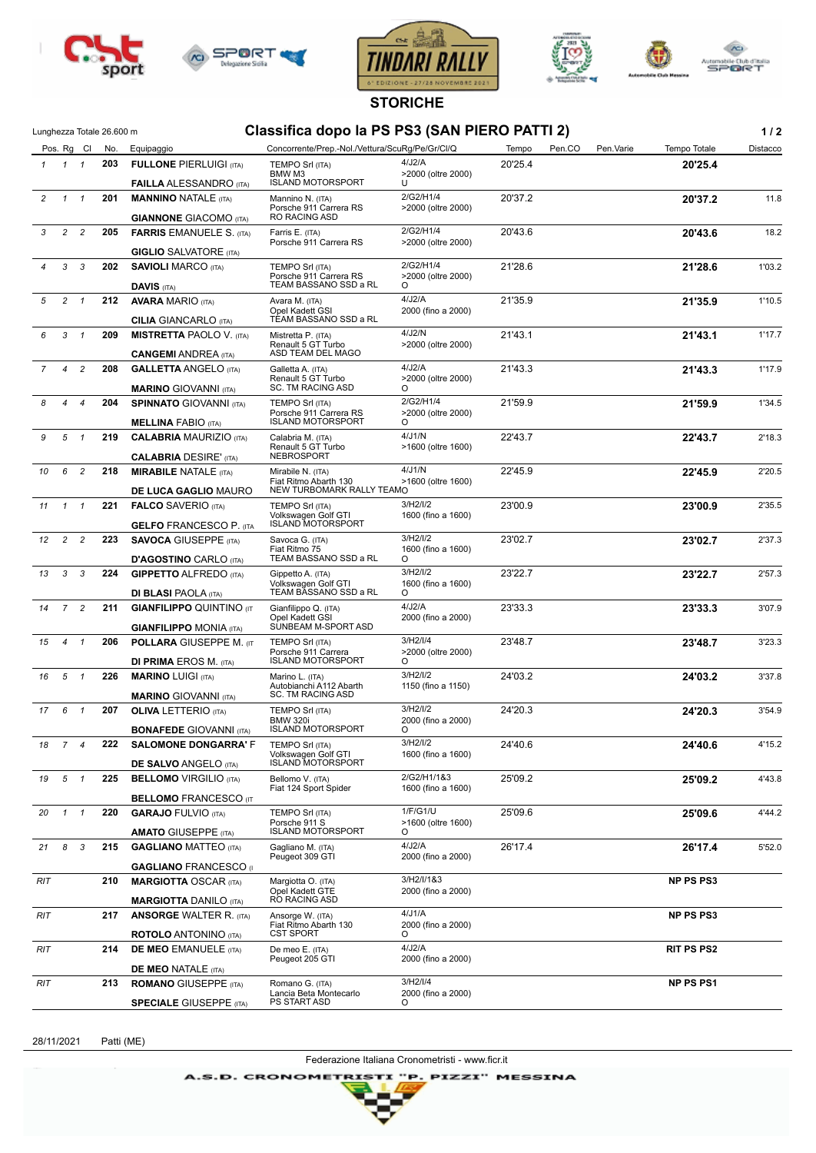







**STORICHE**

## Classifica dopo la PS PS3 (SAN PIERO PATTI 2) **1/2**

|                |                     | Pos. Rg Cl     | No.                                | Equipaggio                                                   | Concorrente/Prep.-Nol./Vettura/ScuRg/Pe/Gr/Cl/Q               |                                 | Tempo   | Pen.CO | Pen.Varie | Tempo Totale      | Distacco |
|----------------|---------------------|----------------|------------------------------------|--------------------------------------------------------------|---------------------------------------------------------------|---------------------------------|---------|--------|-----------|-------------------|----------|
|                | $1 \quad 1 \quad 1$ |                | 203                                | <b>FULLONE PIERLUIGI (ITA)</b>                               | TEMPO Srl (ITA)<br>BMW M3                                     | 4/J2/A<br>>2000 (oltre 2000)    | 20'25.4 |        |           | 20'25.4           |          |
|                |                     |                |                                    | <b>FAILLA ALESSANDRO</b> (ITA)                               | <b>ISLAND MOTORSPORT</b>                                      | U                               |         |        |           |                   |          |
| $\overline{2}$ |                     | $1 \quad 1$    | 201                                | <b>MANNINO NATALE (ITA)</b><br><b>GIANNONE GIACOMO (ITA)</b> | Mannino N. (ITA)<br>Porsche 911 Carrera RS<br>RO RACING ASD   | 2/G2/H1/4<br>>2000 (oltre 2000) | 20'37.2 |        |           | 20'37.2           | 11.8     |
| 3              | $\overline{c}$      | $\overline{c}$ | 205                                | <b>FARRIS EMANUELE S. (ITA)</b>                              | Farris E. (ITA)                                               | 2/G2/H1/4                       | 20'43.6 |        |           | 20'43.6           | 18.2     |
|                |                     |                |                                    | <b>GIGLIO</b> SALVATORE (ITA)                                | Porsche 911 Carrera RS                                        | >2000 (oltre 2000)              |         |        |           |                   |          |
|                | 3                   | 3              | 202                                | <b>SAVIOLI MARCO (ITA)</b>                                   | TEMPO Srl (ITA)                                               | 2/G2/H1/4                       | 21'28.6 |        |           | 21'28.6           | 1'03.2   |
|                |                     |                |                                    | <b>DAVIS (ITA)</b>                                           | Porsche 911 Carrera RS<br>TEAM BASSANO SSD a RL               | >2000 (oltre 2000)<br>$\circ$   |         |        |           |                   |          |
| 5              | $\overline{c}$      | $\overline{1}$ | 212                                | <b>AVARA MARIO (ITA)</b>                                     | Avara M. (ITA)                                                | 4/J2/A                          | 21'35.9 |        |           | 21'35.9           | 1'10.5   |
|                |                     |                |                                    | <b>CILIA GIANCARLO (ITA)</b>                                 | Opel Kadett GSI<br>TEAM BASSANO SSD a RL                      | 2000 (fino a 2000)              |         |        |           |                   |          |
| 6              | 3                   | $\mathbf{1}$   | 209                                | <b>MISTRETTA PAOLO V. (ITA)</b>                              | Mistretta P. (ITA)                                            | 4/J2/N                          | 21'43.1 |        |           | 21'43.1           | 1'17.7   |
|                |                     |                |                                    | <b>CANGEMI ANDREA (ITA)</b>                                  | Renault 5 GT Turbo<br>ASD TEAM DEL MAGO                       | >2000 (oltre 2000)              |         |        |           |                   |          |
| $\overline{7}$ | $\overline{4}$      | $\overline{c}$ | 208                                | <b>GALLETTA ANGELO (ITA)</b>                                 | Galletta A. (ITA)                                             | 4/J2/A                          | 21'43.3 |        |           | 21'43.3           | 1'17.9   |
|                |                     |                |                                    | <b>MARINO GIOVANNI (ITA)</b>                                 | Renault 5 GT Turbo<br><b>SC. TM RACING ASD</b>                | >2000 (oltre 2000)<br>$\circ$   |         |        |           |                   |          |
| 8              | $\overline{4}$      | $\overline{4}$ | 204                                | <b>SPINNATO GIOVANNI (ITA)</b>                               | TEMPO Srl (ITA)<br>Porsche 911 Carrera RS                     | 2/G2/H1/4<br>>2000 (oltre 2000) | 21'59.9 |        |           | 21'59.9           | 1'34.5   |
|                |                     |                |                                    | <b>MELLINA FABIO (ITA)</b>                                   | <b>ISLAND MOTORSPORT</b>                                      | O                               |         |        |           |                   |          |
| 9              | 5                   | $\overline{1}$ | 219                                | <b>CALABRIA MAURIZIO (ITA)</b>                               | Calabria M. (ITA)<br>Renault 5 GT Turbo                       | 4/J1/N<br>>1600 (oltre 1600)    | 22'43.7 |        |           | 22'43.7           | 2'18.3   |
|                |                     |                |                                    | <b>CALABRIA DESIRE' (ITA)</b>                                | <b>NEBROSPORT</b>                                             |                                 |         |        |           |                   |          |
| 10             | 6                   | $\overline{c}$ | 218                                | <b>MIRABILE NATALE (ITA)</b>                                 | Mirabile N. (ITA)<br>Fiat Ritmo Abarth 130                    | 4/J1/N<br>>1600 (oltre 1600)    | 22'45.9 |        |           | 22'45.9           | 2'20.5   |
|                |                     |                |                                    | DE LUCA GAGLIO MAURO                                         | NEW TURBOMARK RALLY TEAMO                                     |                                 |         |        |           |                   |          |
| 11             | $\mathbf{1}$        | $\mathbf{1}$   | 221                                | <b>FALCO SAVERIO (ITA)</b>                                   | <b>TEMPO Srl (ITA)</b>                                        | 3/H2/I/2                        | 23'00.9 |        |           | 23'00.9           | 2'35.5   |
|                |                     |                |                                    | <b>GELFO FRANCESCO P. (ITA</b>                               | Volkswagen Golf GTI<br><b>ISLAND MOTORSPORT</b>               | 1600 (fino a 1600)              |         |        |           |                   |          |
| 12             | $\overline{2}$      | $\overline{c}$ | 223                                | <b>SAVOCA GIUSEPPE (ITA)</b>                                 | Savoca G. (ITA)                                               | 3/H2/I/2                        | 23'02.7 |        |           | 23'02.7           | 2'37.3   |
|                |                     |                |                                    | <b>D'AGOSTINO CARLO (ITA)</b>                                | Fiat Ritmo 75<br>TEAM BASSANO SSD a RL                        | 1600 (fino a 1600)<br>$\circ$   |         |        |           |                   |          |
| 13             | $3 \quad 3$         |                | 224                                | <b>GIPPETTO ALFREDO (ITA)</b>                                | Gippetto A. (ITA)                                             | 3/H2/I/2                        | 23'22.7 |        |           | 23'22.7           | 2'57.3   |
|                |                     |                |                                    | <b>DI BLASI PAOLA (ITA)</b>                                  | Volkswagen Golf GTI<br>TEAM BASSANO SSD a RL                  | 1600 (fino a 1600)<br>$\circ$   |         |        |           |                   |          |
| 14             |                     | 7 <sup>2</sup> | 211                                | <b>GIANFILIPPO QUINTINO (IT</b>                              | Gianfilippo Q. (ITA)                                          | 4/J2/A                          | 23'33.3 |        |           | 23'33.3           | 3'07.9   |
|                |                     |                |                                    | <b>GIANFILIPPO MONIA (ITA)</b>                               | Opel Kadett GSI<br>SUNBEAM M-SPORT ASD                        | 2000 (fino a 2000)              |         |        |           |                   |          |
| 15             | $\overline{4}$      | $\overline{1}$ | 206                                | <b>POLLARA GIUSEPPE M. (IT</b>                               | <b>TEMPO Srl (ITA)</b>                                        | 3/H2/I/4                        | 23'48.7 |        |           | 23'48.7           | 3'23.3   |
|                |                     |                |                                    | <b>DI PRIMA EROS M. (ITA)</b>                                | Porsche 911 Carrera<br><b>ISLAND MOTORSPORT</b>               | >2000 (oltre 2000)<br>O         |         |        |           |                   |          |
| 16             | 5                   | $\overline{1}$ | 226                                | <b>MARINO LUIGI (ITA)</b>                                    | Marino L. (ITA)                                               | 3/H2/I/2                        | 24'03.2 |        |           | 24'03.2           | 3'37.8   |
|                |                     |                |                                    | <b>MARINO GIOVANNI (ITA)</b>                                 | Autobianchi A112 Abarth<br>SC. TM RACING ASD                  | 1150 (fino a 1150)              |         |        |           |                   |          |
| 17             | 6                   | $\mathbf{1}$   | 207<br><b>OLIVA LETTERIO</b> (ITA) | 3/H2/I/2<br>TEMPO Srl (ITA)                                  |                                                               | 24'20.3                         |         |        | 24'20.3   | 3'54.9            |          |
|                |                     |                |                                    | <b>BONAFEDE GIOVANNI (ITA)</b>                               | <b>BMW 320i</b><br><b>ISLAND MOTORSPORT</b>                   | 2000 (fino a 2000)<br>O         |         |        |           |                   |          |
| 18             | $\overline{7}$      | $\overline{4}$ | 222                                | <b>SALOMONE DONGARRA' F</b>                                  | TEMPO Srl (ITA)                                               | 3/H2/I/2                        | 24'40.6 |        |           | 24'40.6           | 4'15.2   |
|                |                     |                |                                    | <b>DE SALVO ANGELO (ITA)</b>                                 | Volkswagen Golf GTI<br><b>ISLAND MOTORSPORT</b>               | 1600 (fino a 1600)              |         |        |           |                   |          |
| 19             | 5                   | $\overline{1}$ | 225                                | <b>BELLOMO</b> VIRGILIO (ITA)                                | Bellomo V. (ITA)                                              | 2/G2/H1/1&3                     | 25'09.2 |        |           | 25'09.2           | 4'43.8   |
|                |                     |                |                                    |                                                              | Fiat 124 Sport Spider                                         | 1600 (fino a 1600)              |         |        |           |                   |          |
|                |                     |                |                                    | <b>BELLOMO FRANCESCO (IT</b>                                 |                                                               |                                 |         |        |           |                   |          |
| 20             |                     | $1 \quad 1$    | 220                                | <b>GARAJO FULVIO (ITA)</b>                                   | TEMPO Srl (ITA)<br>Porsche 911 S                              | 1/F/G1/U<br>>1600 (oltre 1600)  | 25'09.6 |        |           | 25'09.6           | 4'44.2   |
|                |                     |                |                                    | <b>AMATO GIUSEPPE (ITA)</b>                                  | <b>ISLAND MOTORSPORT</b>                                      | O                               |         |        |           |                   |          |
| 21             | 8                   | 3              | 215                                | <b>GAGLIANO MATTEO (ITA)</b>                                 | Gagliano M. (ITA)<br>Peugeot 309 GTI                          | 4/J2/A<br>2000 (fino a 2000)    | 26'17.4 |        |           | 26'17.4           | 5'52.0   |
|                |                     |                |                                    | <b>GAGLIANO FRANCESCO (I)</b>                                |                                                               | 3/H2/I/183                      |         |        |           |                   |          |
| RIT            |                     |                | 210                                | <b>MARGIOTTA OSCAR (ITA)</b>                                 | Margiotta O. (ITA)<br>Opel Kadett GTE<br>RO RACING ASD        | 2000 (fino a 2000)              |         |        |           | <b>NP PS PS3</b>  |          |
|                |                     |                |                                    | <b>MARGIOTTA DANILO (ITA)</b>                                |                                                               | 4/J1/A                          |         |        |           |                   |          |
| RIT            |                     |                | 217                                | <b>ANSORGE WALTER R. (ITA)</b>                               | Ansorge W. (ITA)<br>Fiat Ritmo Abarth 130<br><b>CST SPORT</b> | 2000 (fino a 2000)<br>$\circ$   |         |        |           | <b>NP PS PS3</b>  |          |
|                |                     |                | 214                                | <b>ROTOLO</b> ANTONINO (ITA)                                 |                                                               | 4/J2/A                          |         |        |           | <b>RIT PS PS2</b> |          |
| RIT            |                     |                |                                    | <b>DE MEO EMANUELE (ITA)</b>                                 | De meo E. (ITA)<br>Peugeot 205 GTI                            | 2000 (fino a 2000)              |         |        |           |                   |          |
|                |                     |                |                                    | <b>DE MEO NATALE (ITA)</b>                                   |                                                               | 3/H2/I/4                        |         |        |           |                   |          |
| RIT            |                     |                | 213                                | <b>ROMANO GIUSEPPE (ITA)</b>                                 | Romano G. (ITA)<br>Lancia Beta Montecarlo                     | 2000 (fino a 2000)              |         |        |           | <b>NP PS PS1</b>  |          |
|                |                     |                |                                    | <b>SPECIALE GIUSEPPE (ITA)</b>                               | PS START ASD                                                  | O                               |         |        |           |                   |          |

28/11/2021 Patti (ME)

Federazione Italiana Cronometristi - www.ficr.it

A.S.D. CRONOMETRISTI "P. PIZZI" MESSINA